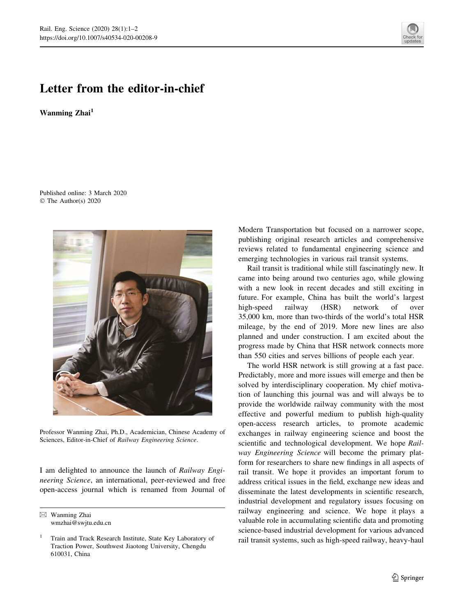## Letter from the editor-in-chief

Wanming Zhai<sup>1</sup>

Published online: 3 March 2020 © The Author(s) 2020



Professor Wanming Zhai, Ph.D., Academician, Chinese Academy of Sciences, Editor-in-Chief of Railway Engineering Science.

I am delighted to announce the launch of Railway Engineering Science, an international, peer-reviewed and free open-access journal which is renamed from Journal of Modern Transportation but focused on a narrower scope, publishing original research articles and comprehensive reviews related to fundamental engineering science and emerging technologies in various rail transit systems.

Rail transit is traditional while still fascinatingly new. It came into being around two centuries ago, while glowing with a new look in recent decades and still exciting in future. For example, China has built the world's largest high-speed railway (HSR) network of over 35,000 km, more than two-thirds of the world's total HSR mileage, by the end of 2019. More new lines are also planned and under construction. I am excited about the progress made by China that HSR network connects more than 550 cities and serves billions of people each year.

The world HSR network is still growing at a fast pace. Predictably, more and more issues will emerge and then be solved by interdisciplinary cooperation. My chief motivation of launching this journal was and will always be to provide the worldwide railway community with the most effective and powerful medium to publish high-quality open-access research articles, to promote academic exchanges in railway engineering science and boost the scientific and technological development. We hope Railway Engineering Science will become the primary platform for researchers to share new findings in all aspects of rail transit. We hope it provides an important forum to address critical issues in the field, exchange new ideas and disseminate the latest developments in scientific research, industrial development and regulatory issues focusing on railway engineering and science. We hope it plays a valuable role in accumulating scientific data and promoting science-based industrial development for various advanced rail transit systems, such as high-speed railway, heavy-haul



 $\boxtimes$  Wanming Zhai wmzhai@swjtu.edu.cn

<sup>1</sup> Train and Track Research Institute, State Key Laboratory of Traction Power, Southwest Jiaotong University, Chengdu 610031, China